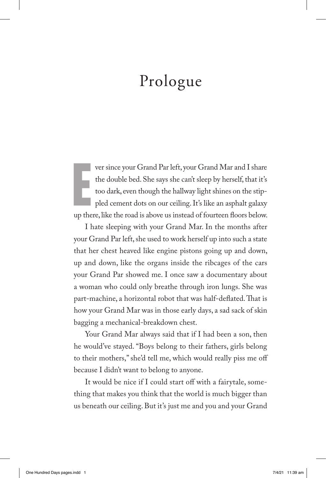## Prologue

**EXECUTE:** Ver since your Grand Par left, your Grand Mar and I share<br>the double bed. She says she can't sleep by herself, that it's<br>too dark, even though the hallway light shines on the stip-<br>pled cement dots on our ceilin ver since your Grand Par left, your Grand Mar and I share the double bed. She says she can't sleep by herself, that it's too dark, even though the hallway light shines on the stippled cement dots on our ceiling. It's like an asphalt galaxy

I hate sleeping with your Grand Mar. In the months after your Grand Par left, she used to work herself up into such a state that her chest heaved like engine pistons going up and down, up and down, like the organs inside the ribcages of the cars your Grand Par showed me. I once saw a documentary about a woman who could only breathe through iron lungs. She was part-machine, a horizontal robot that was half-deflated. That is how your Grand Mar was in those early days, a sad sack of skin bagging a mechanical-breakdown chest.

Your Grand Mar always said that if I had been a son, then he would've stayed. "Boys belong to their fathers, girls belong to their mothers," she'd tell me, which would really piss me off because I didn't want to belong to anyone.

It would be nice if I could start off with a fairytale, something that makes you think that the world is much bigger than us beneath our ceiling. But it's just me and you and your Grand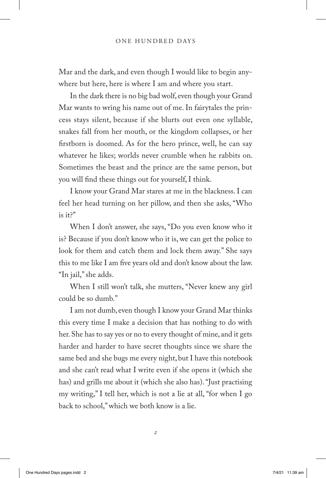Mar and the dark, and even though I would like to begin anywhere but here, here is where I am and where you start.

In the dark there is no big bad wolf, even though your Grand Mar wants to wring his name out of me. In fairytales the princess stays silent, because if she blurts out even one syllable, snakes fall from her mouth, or the kingdom collapses, or her firstborn is doomed. As for the hero prince, well, he can say whatever he likes; worlds never crumble when he rabbits on. Sometimes the beast and the prince are the same person, but you will find these things out for yourself, I think.

I know your Grand Mar stares at me in the blackness. I can feel her head turning on her pillow, and then she asks, "Who is it?"

When I don't answer, she says, "Do you even know who it is? Because if you don't know who it is, we can get the police to look for them and catch them and lock them away." She says this to me like I am five years old and don't know about the law. "In jail," she adds.

When I still won't talk, she mutters, "Never knew any girl could be so dumb."

I am not dumb, even though I know your Grand Mar thinks this every time I make a decision that has nothing to do with her. She has to say yes or no to every thought of mine, and it gets harder and harder to have secret thoughts since we share the same bed and she bugs me every night, but I have this notebook and she can't read what I write even if she opens it (which she has) and grills me about it (which she also has). "Just practising my writing," I tell her, which is not a lie at all, "for when I go back to school," which we both know is a lie.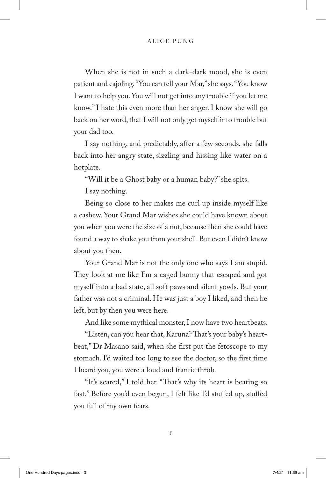When she is not in such a dark-dark mood, she is even patient and cajoling. "You can tell your Mar," she says. "You know I want to help you. You will not get into any trouble if you let me know." I hate this even more than her anger. I know she will go back on her word, that I will not only get myself into trouble but your dad too.

I say nothing, and predictably, after a few seconds, she falls back into her angry state, sizzling and hissing like water on a hotplate.

"Will it be a Ghost baby or a human baby?" she spits.

I say nothing.

Being so close to her makes me curl up inside myself like a cashew. Your Grand Mar wishes she could have known about you when you were the size of a nut, because then she could have found a way to shake you from your shell. But even I didn't know about you then.

Your Grand Mar is not the only one who says I am stupid. They look at me like I'm a caged bunny that escaped and got myself into a bad state, all soft paws and silent yowls. But your father was not a criminal. He was just a boy I liked, and then he left, but by then you were here.

And like some mythical monster, I now have two heartbeats.

"Listen, can you hear that, Karuna? That's your baby's heartbeat," Dr Masano said, when she first put the fetoscope to my stomach. I'd waited too long to see the doctor, so the first time I heard you, you were a loud and frantic throb.

"It's scared," I told her. "That's why its heart is beating so fast." Before you'd even begun, I felt like I'd stuffed up, stuffed you full of my own fears.